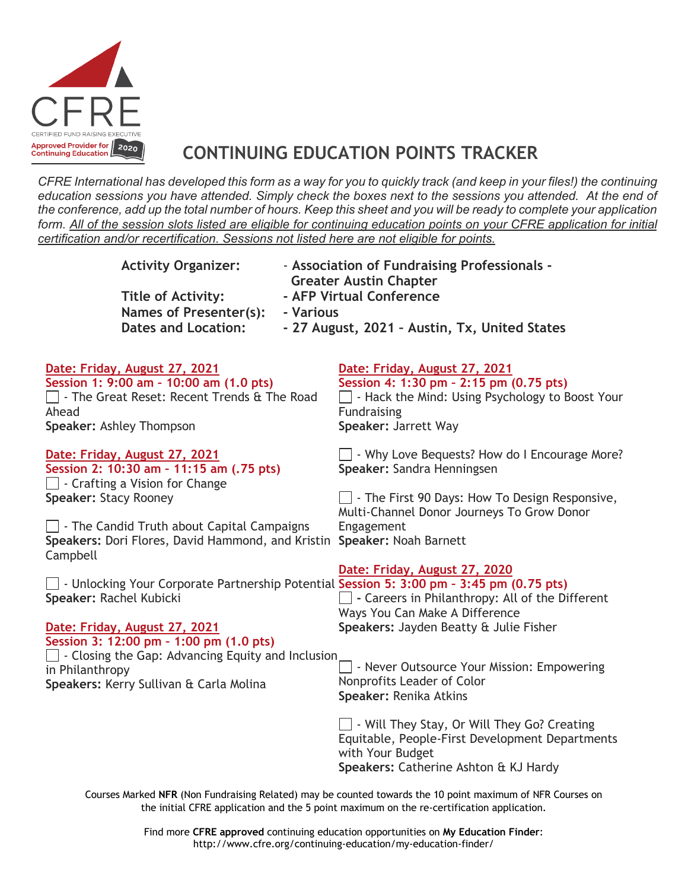

## **CONTINUING EDUCATION POINTS TRACKER**

*CFRE International has developed this form as a way for you to quickly track (and keep in your files!) the continuing education sessions you have attended. Simply check the boxes next to the sessions you attended. At the end of the conference, add up the total number of hours. Keep this sheet and you will be ready to complete your application form. All of the session slots listed are eligible for continuing education points on your CFRE application for initial certification and/or recertification. Sessions not listed here are not eligible for points.*

| <b>Activity Organizer:</b><br><b>Title of Activity:</b><br><b>Names of Presenter(s):</b><br>- Various<br><b>Dates and Location:</b>                                                                    | - Association of Fundraising Professionals -<br><b>Greater Austin Chapter</b><br>- AFP Virtual Conference<br>- 27 August, 2021 - Austin, Tx, United States          |
|--------------------------------------------------------------------------------------------------------------------------------------------------------------------------------------------------------|---------------------------------------------------------------------------------------------------------------------------------------------------------------------|
| Date: Friday, August 27, 2021<br>Session 1: 9:00 am - 10:00 am (1.0 pts)<br>□ - The Great Reset: Recent Trends & The Road<br>Ahead<br>Speaker: Ashley Thompson                                         | Date: Friday, August 27, 2021<br>Session 4: 1:30 pm - 2:15 pm (0.75 pts)<br>- Hack the Mind: Using Psychology to Boost Your<br>Fundraising<br>Speaker: Jarrett Way  |
| Date: Friday, August 27, 2021<br>Session 2: 10:30 am - 11:15 am (.75 pts)<br>$\Box$ - Crafting a Vision for Change<br>Speaker: Stacy Rooney                                                            | Why Love Bequests? How do I Encourage More?<br>Speaker: Sandra Henningsen<br>$\Box$ - The First 90 Days: How To Design Responsive,                                  |
| $\Box$ - The Candid Truth about Capital Campaigns<br>Speakers: Dori Flores, David Hammond, and Kristin Speaker: Noah Barnett<br>Campbell                                                               | Multi-Channel Donor Journeys To Grow Donor<br>Engagement                                                                                                            |
| $\Box$ - Unlocking Your Corporate Partnership Potential Session 5: 3:00 pm - 3:45 pm (0.75 pts)<br>Speaker: Rachel Kubicki<br>Date: Friday, August 27, 2021<br>Session 3: 12:00 pm - 1:00 pm (1.0 pts) | Date: Friday, August 27, 2020<br>$\Box$ - Careers in Philanthropy: All of the Different<br>Ways You Can Make A Difference<br>Speakers: Jayden Beatty & Julie Fisher |
| $\Box$ - Closing the Gap: Advancing Equity and Inclusion<br>in Philanthropy<br>Speakers: Kerry Sullivan & Carla Molina                                                                                 | - Never Outsource Your Mission: Empowering<br>Nonprofits Leader of Color<br>Speaker: Renika Atkins                                                                  |
|                                                                                                                                                                                                        | Will They Stay, Or Will They Go? Creating<br>Equitable, People-First Development Departments<br>with Your Budget<br>Speakers: Catherine Ashton & KJ Hardy           |

Courses Marked **NFR** (Non Fundraising Related) may be counted towards the 10 point maximum of NFR Courses on the initial CFRE application and the 5 point maximum on the re-certification application.